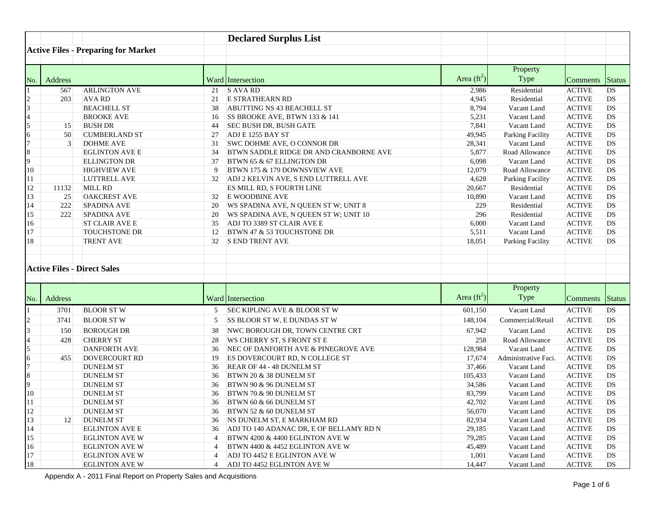|         |                                                | <b>Declared Surplus List</b>                                              |                  |                            |                                            |
|---------|------------------------------------------------|---------------------------------------------------------------------------|------------------|----------------------------|--------------------------------------------|
|         | <b>Active Files - Preparing for Market</b>     |                                                                           |                  |                            |                                            |
|         |                                                |                                                                           |                  |                            |                                            |
|         |                                                |                                                                           |                  | Property                   |                                            |
| Address |                                                |                                                                           | Area (ft         | Type                       |                                            |
|         |                                                | Ward Intersection                                                         |                  |                            | omments Status                             |
|         | 567 ARLINGTON AVE<br>$203$ AVA RD              | 21 S AVA RD<br>21 E STRATHEARN RD                                         |                  | Residential<br>Residential | ACTIVE DS<br>CTIVE DS                      |
|         | <b>BEACHELL ST</b>                             | 38 ABUTTING NS 43 BEACHELL ST                                             |                  | Vacant Land                | ACTIVE  DS                                 |
|         | <b>BROOKE AVE</b>                              | 16 SS BROOKE AVE, BTWN 133 & 141                                          |                  | Vacant Land                | CTIVE<br><b>IDS</b>                        |
|         | <b>BUSH DR</b>                                 | 44 SEC BUSH DR, BUSH GATE                                                 | 7 84             | Vacant Land                | CTIVE<br><b>IDS</b>                        |
|         | <b>CUMBERLAND ST</b>                           | 27 ADJ E 1255 BAY ST                                                      | 49.945           | Parking Facility           | ACTIVE DS                                  |
|         | <b>DOHME AVE</b>                               | 31 SWC DOHME AVE, O CONNOR DR                                             | 28.341           | Vacant Land                | ACTIVE  DS                                 |
|         | <b>EGLINTON AVE I</b>                          | 34 BTWN SADDLE RIDGE DR AND CRANBORNE AVE                                 |                  | Road Allowance             | TIVE                                       |
|         | <b>ELLINGTON DR</b>                            | 37 BTWN 65 & 67 ELLINGTON DR                                              | 6.098            | Vacant Land                | TIVE<br>-IDS -                             |
|         | <b>HIGHVIEW AVE</b>                            | 9 BTWN 175 & 179 DOWNSVIEW AVE                                            | 12.079           | Road Allowance             | TIVE<br>- DS -                             |
|         | LUTTRELL AVE                                   | ADJ 2 KELVIN AVE, S END LUTTRELL AVE                                      | 4.628            | Parking Facility           | ACTIVE DS                                  |
|         | MILL RD                                        | ES MILL RD, S FOURTH LINE                                                 | 20.667           | Residential                | ACTIVE DS                                  |
|         | <b>OAKCREST AVE</b>                            | E WOODBINE AVE                                                            | 10.890           | Vacant Land                | ACTIVE DS                                  |
|         | <b>SPADINA AVE</b>                             | 20 WS SPADINA AVE, N QUEEN ST W; UNIT 8                                   |                  | Residential                | CTIVE<br><b>DS</b>                         |
|         | <b>SPADINA AVE</b>                             | 20 WS SPADINA AVE, N QUEEN ST W; UNIT 10                                  |                  | Residential                | CTIVE DS                                   |
|         | ST CLAIR AVE E<br><b>TOUCHSTONE DR</b>         | 35 ADJ TO 3389 ST CLAIR AVE E                                             | 6.000            | Vacant Land                | ACTIVE DS                                  |
|         |                                                | 12 BTWN 47 & 53 TOUCHSTONE DR<br>S END TRENT AVE                          |                  | Vacant Land                | ACTIVE DS                                  |
|         | <b>TRENT AVE</b>                               |                                                                           | 18.051           | Parking Facility           | ACTIVE DS                                  |
|         |                                                |                                                                           |                  |                            |                                            |
|         | <b>Active Files - Direct Sales</b>             |                                                                           |                  |                            |                                            |
|         |                                                |                                                                           |                  |                            |                                            |
|         |                                                |                                                                           |                  |                            |                                            |
| Address |                                                |                                                                           | Area (ft         | Property<br>Type           |                                            |
|         |                                                | Ward Intersection                                                         |                  |                            | mments<br><b>Status</b>                    |
|         | 3701 BLOOR ST W                                | 5 SEC KIPLING AVE & BLOOR ST W                                            | 601,150          | Vacant Land                | ACTIVE DS                                  |
|         | $3741$ BLOOR ST W                              | 5 SS BLOOR ST W, E DUNDAS ST W                                            | 148.104          | ommercial/Retail           | ACTIVE                                     |
|         | 150 BOROUGH DR                                 | 38 NWC BOROUGH DR, TOWN CENTRE CRT                                        | 67.942           | Vacant Land                | CTIVE<br><b>DS</b>                         |
|         | 428 CHERRY ST                                  | 28 WS CHERRY ST, S FRONT ST E                                             |                  | Road Allowance             | 'TIVE                                      |
|         | <b>DANFORTH AVE</b>                            | 36 NEC OF DANFORTH AVE & PINEGROVE AVE                                    | 128,984          | Vacant Land                | TIVE.<br>-IDS -                            |
|         | 455 DOVERCOURT RD                              | 19 ES DOVERCOURT RD, N COLLEGE ST<br>36 REAR OF 44 - 48 DUNELM ST         | 17.674           | dministrative Faci.        | ACTIVE                                     |
|         |                                                |                                                                           |                  |                            | ACTIVE<br>- IDS -                          |
|         | <b>DUNELM ST</b>                               |                                                                           | 37.466           | Vacant Land                |                                            |
|         | <b>DUNELM ST</b>                               | 36 BTWN 20 & 38 DUNELM ST                                                 | 105.433          | Vacant Land                | CTIVE <b>IDS</b>                           |
|         | <b>DUNELM ST</b>                               | 36 BTWN 90 & 96 DUNELM ST                                                 | 34.586           | Vacant Land                | <b>ACTIVE</b><br>- IDS -                   |
|         | <b>DUNELM ST</b>                               | 36 BTWN 70 & 90 DUNELM ST                                                 | 83.799           | Vacant Land                | ACTIVE DS                                  |
|         | <b>DUNELM ST</b>                               | 36 BTWN 60 & 66 DUNELM ST                                                 | 42,702           | Vacant Land                | ACTIVE DS                                  |
|         | <b>DUNELM ST</b>                               | 36 BTWN 52 & 60 DUNELM ST                                                 | 56,070           | Vacant Land                |                                            |
|         | <b>DUNELM ST</b>                               | 36 NS DUNELM ST, E MARKHAM RD                                             | 82.934<br>29.185 | Vacant Land                | ACTIVE DS<br>ACTIVE DS                     |
|         | <b>EGLINTON AVE E</b>                          | 36 ADJ TO 140 ADANAC DR, E OF BELLAMY RD N                                | 79,285           | Vacant Land                | ACTIVE DS                                  |
|         | <b>EGLINTON AVE W</b><br><b>EGLINTON AVE W</b> | 4 BTWN 4200 $\&$ 4400 EGLINTON AVE W<br>4 BTWN 4400 & 4452 EGLINTON AVE W | 45,489           | Vacant Land<br>Vacant Land | $ ACTIVE$ $ DS$                            |
|         | <b>EGLINTON AVE W</b>                          | 4 ADJ TO 4452 E EGLINTON AVE W                                            | 1.001            | Vacant Land                | $\overline{\text{ACTIVE}}$ DS<br>ACTIVE DS |

Appendix A - 2011 Final Report on Property Sales and Acquisitions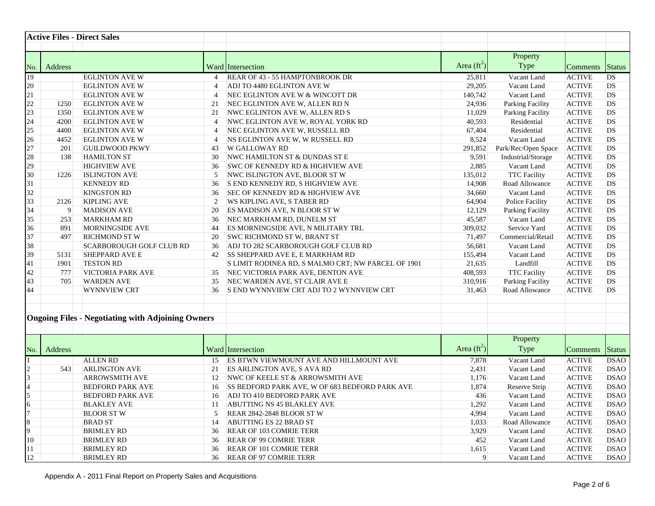| <b>Active Files - Direct Sales</b>                       |                                                                                                           |                      |                              |                                  |
|----------------------------------------------------------|-----------------------------------------------------------------------------------------------------------|----------------------|------------------------------|----------------------------------|
|                                                          |                                                                                                           |                      |                              |                                  |
|                                                          |                                                                                                           |                      | Property                     |                                  |
|                                                          | Ward Intersection                                                                                         | Area $(\text{ft}^2)$ | Type                         | <b>omments</b> Status            |
| EGLINTON AVE W                                           | $4$   REAR OF 43 - 55 HAMPTONBROOK DR                                                                     | 25,811               | Vacant Land                  | ACTIVE DS                        |
| <b>EGLINTON AVE W</b>                                    | 4 ADJ TO 4480 EGLINTON AVE W                                                                              | 29,205               | Vacant Land                  | ACTIVE DS                        |
| <b>EGLINTON AVE W</b>                                    | 4  NEC EGLINTON AVE W & WINCOTT DR                                                                        | 140.742              | Vacant Land                  | ACTIVE DS                        |
| 1250 EGLINTON AVE W                                      | 21 NEC EGLINTON AVE W, ALLEN RD N                                                                         | 24.936               | Parking Facility             | ACTIVE DS                        |
| 1350 EGLINTON AVE W                                      | 21   NWC EGLINTON AVE W, ALLEN RD S                                                                       | 11,029               | Parking Facility             | ACTIVE DS                        |
| 4200 EGLINTON AVE W                                      | 4   NWC EGLINTON AVE W, ROYAL YORK RD                                                                     | 40.593               | Residential                  | ACTIVE<br><b>IDS</b>             |
| 4400 EGLINTON AVE W                                      | 4 NEC EGLINTON AVE W, RUSSELL RD                                                                          | 67,404               | Residential                  | ACTIVE<br>$\overline{\text{DS}}$ |
| 4452 EGLINTON AVE W                                      | $\vert$ 4 NS EGLINTON AVE W, W RUSSELL RD                                                                 | 8.524                | Vacant Land                  | ACTIVE<br>DS                     |
| 201 GUILDWOOD PKWY                                       | 43 W GALLOWAY RD                                                                                          | 291.852              | Park/Rec/Open Space          | ACTIVE<br>-IDS                   |
| 138 HAMILTON ST                                          | 30 NWC HAMILTON ST & DUNDAS ST E                                                                          | 9.591                | Industrial/Storage           | ACTIVE<br> DS                    |
| <b>HIGHVIEW AVE</b>                                      | 36 SWC OF KENNEDY RD & HIGHVIEW AVE                                                                       | 2.884                | Vacant Land                  | ACTIVE IDS                       |
| 1226 ISLINGTON AVE                                       | 5 NWC ISLINGTON AVE, BLOOR ST W                                                                           | 135.012              | <b>TTC Facility</b>          | ACTIVE DS                        |
| <b>KENNEDY RD</b>                                        | 36 S END KENNEDY RD, S HIGHVIEW AVE                                                                       | 14.908               | Road Allowance               | ACTIVE  DS                       |
| <b>KINGSTON RD</b>                                       | 36 SEC OF KENNEDY RD & HIGHVIEW AVE                                                                       | 34,660               | Vacant Land                  | ACTIVE DS                        |
| 2126 KIPLING AVE                                         | 2 WS KIPLING AVE, S TABER RD                                                                              | 64.904               | Police Facility              | ACTIVE DS                        |
| <b>MADISON AVE</b>                                       | 20 ES MADISON AVE, N BLOOR ST W                                                                           |                      | Parking Facility             | TIVE<br>DS <b>DS</b>             |
| 253 MARKHAM RD                                           | 36 NEC MARKHAM RD, DUNELM ST                                                                              | 45.587               | Vacant Land                  | ACTIVE DS                        |
| 891 MORNINGSIDE AVE                                      | 44 ES MORNINGSIDE AVE, N MILITARY TRL                                                                     | 309.032<br>71.497    | Service Yard                 | ACTIVE DS                        |
| 497 RICHMOND ST W<br><b>SCARBOROUGH GOLF CLUB RD</b>     | 20 SWC RICHMOND ST W, BRANT ST<br>36 ADJ TO 282 SCARBOROUGH GOLF CLUB RD                                  | 56.681               | Commercial/Retail            | ACTIVE<br>DS<br>ACTIVE DS        |
| 5131 SHEPPARD AVE E                                      | 42 ISS SHEPPARD AVE E, E MARKHAM RD                                                                       | 155,494              | Vacant Land<br>Vacant Land   | ACTIVE DS                        |
| 1901 TESTON RD                                           | S LIMIT RODINEA RD, S MALMO CRT; NW PARCEL OF 1901                                                        | 21.635               | Landfill                     | $ ACTIVE$ $DS$                   |
| 777 VICTORIA PARK AVE                                    | 35 NEC VICTORIA PARK AVE, DENTON AVE                                                                      | 408,593              | <b>TTC Facility</b>          | ACTIVE DS                        |
| 705 WARDEN AVE                                           | 35 NEC WARDEN AVE, ST CLAIR AVE E                                                                         | 310.916              | Parking Facility             | ACTIVE DS                        |
| WYNNVIEW CRT                                             | 36 S END WYNNVIEW CRT ADJ TO 2 WYNNVIEW CRT                                                               | 31.463               | Road Allowance               | $ ACTIVE$ $ DS$                  |
|                                                          |                                                                                                           |                      |                              |                                  |
|                                                          |                                                                                                           |                      |                              |                                  |
| <b>Ongoing Files - Negotiating with Adjoining Owners</b> |                                                                                                           |                      |                              |                                  |
|                                                          |                                                                                                           |                      |                              |                                  |
|                                                          |                                                                                                           |                      | Property                     |                                  |
|                                                          |                                                                                                           | Area $(\text{ft}^2)$ | Type                         |                                  |
|                                                          | Ward Intersection                                                                                         |                      |                              | mments Status                    |
| ALLEN RD                                                 | 15 ES BTWN VIEWMOUNT AVE AND HILLMOUNT AVE                                                                | 7.8781               | Vacant Land                  | <b>ACTIVE IDSAO</b>              |
| 543 ARLINGTON AVE<br><b>ARROWSMITH AVE</b>               | 21 ES ARLINGTON AVE, S AVA RD                                                                             | 2.431<br>1.176       | Vacant Land                  | ACTIVE DSAO<br>ACTIVE DSAO       |
| <b>BEDFORD PARK AVE</b>                                  | 12 NWC OF KEELE ST & ARROWSMITH AVE<br>16 SS BEDFORD PARK AVE, W OF 683 BEDFORD PARK AVE                  | 1,874                | Vacant Land<br>Reserve Strip | <b>ACTIVE</b><br><b>DSAO</b>     |
| <b>BEDFORD PARK AVE</b>                                  | 16 ADJ TO 410 BEDFORD PARK AVE                                                                            | 4361                 | Vacant Land                  | ACTIVE<br><b>DSAO</b>            |
| <b>BLAKLEY AVE</b>                                       | 11 ABUTTING NS 45 BLAKLEY AVE                                                                             | 1.29                 | Vacant Land                  | ACTIVE<br>DSAO                   |
| <b>BLOOR ST W</b>                                        | $\begin{array}{ c c c c c c } \hline 5 & \text{REAR } 2842 - 2848 \text{ BLOOR } \text{ST W} \end{array}$ | 4.994                | Vacant Land                  | CTIVE<br>DSAO                    |
| <b>BRAD ST</b>                                           | 14 ABUTTING ES 22 BRAD ST                                                                                 |                      | Road Allowance               | ACTIVE<br><b>DSAO</b>            |
| <b>BRIMLEY RD</b>                                        | 36 REAR OF 103 COMRIE TERR                                                                                | 3 92C                | Vacant Land                  | ACTIVE  DSAO                     |
| <b>BRIMLEY RD</b>                                        | 36 REAR OF 99 COMRIE TERR                                                                                 |                      | Vacant Land                  | ACTIVE DSAO                      |
| <b>BRIMLEY RD</b>                                        | 36 REAR OF 101 COMRIE TERR                                                                                |                      | Vacant Land                  | ACTIVE<br><b>DSAO</b>            |
| <b>BRIMLEY RD</b>                                        | 36 REAR OF 97 COMRIE TERR                                                                                 |                      | Vacant Land                  | ACTIVE DSAO                      |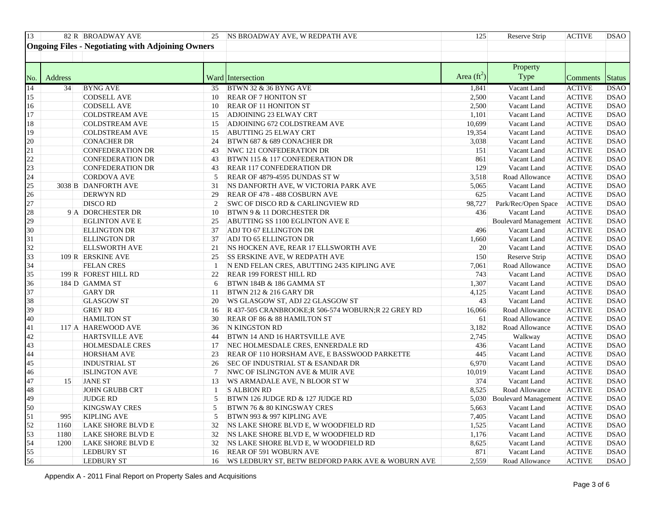|         | $82 R$ BROADWAY AVE                                      | $\parallel$ 25 NS BROADWAY AVE, W REDPATH AVE         |                       | Reserve Strip                     | ACTIVE DSAO                  |
|---------|----------------------------------------------------------|-------------------------------------------------------|-----------------------|-----------------------------------|------------------------------|
|         | <b>Ongoing Files - Negotiating with Adjoining Owners</b> |                                                       |                       |                                   |                              |
|         |                                                          |                                                       |                       |                                   |                              |
|         |                                                          |                                                       |                       |                                   |                              |
|         |                                                          |                                                       |                       | Property                          |                              |
| Address |                                                          | Ward Intersection                                     | Area (ft <sup>-</sup> | Type                              | omments<br><b>Status</b>     |
|         | 34 BYNG AVE                                              | $\parallel$ 35 BTWN 32 & 36 BYNG AVE                  | 1.8411                | Vacant Land                       | ACTIVE DSAO                  |
|         | <b>CODSELL AVE</b>                                       | 10 REAR OF 7 HONITON ST                               |                       | Vacant Land                       | TIVE<br><b>DSAO</b>          |
|         | <b>CODSELL AVE</b>                                       | 10 REAR OF 11 HONITON ST                              | חר י                  | Vacant Land                       | ACTIVE<br><b>DSAO</b>        |
|         | <b>COLDSTREAM AVE</b>                                    | 15 ADJOINING 23 ELWAY CRT                             |                       | Vacant Land                       | TIVE  DSAO                   |
|         | <b>COLDSTREAM AVE</b>                                    | 15 ADJOINING 672 COLDSTREAM AVE                       | 10.699                | Vacant Land                       | <b>ACTIVE</b><br><b>DSAO</b> |
|         | <b>COLDSTREAM AVE</b>                                    | 15 ABUTTING 25 ELWAY CRT                              | 19.354                | Vacant Land                       | ACTIVE  DSAO                 |
|         | <b>CONACHER DR</b>                                       | 24 BTWN 687 & 689 CONACHER DR                         |                       | Vacant Land                       | CTIVE<br><b>DSAO</b>         |
|         | <b>CONFEDERATION DR</b>                                  | 43  NWC 121 CONFEDERATION DR                          |                       | Vacant Land                       | TIVE<br><b>DSAO</b>          |
|         | CONFEDERATION DR                                         | 43 BTWN 115 & 117 CONFEDERATION DR                    |                       | Vacant Land                       | TIVE<br><b>DSAC</b>          |
|         | CONFEDERATION DR                                         | 43 REAR 117 CONFEDERATION DR                          |                       | Vacant Land                       | ACTIVE  DSAO                 |
|         | <b>CORDOVA AVE</b>                                       | 5 REAR OF 4879-4595 DUNDAS ST W                       |                       | Road Allowance                    | ACTIVE DSAO                  |
|         | 3038 B DANFORTH AVE                                      | NS DANFORTH AVE, W VICTORIA PARK AVE                  | 5.065                 | Vacant Land                       | <b>DSAO</b><br>CTIVE         |
|         | <b>DERWYN RD</b>                                         | 29 REAR OF 478 - 488 COSBURN AVE                      |                       | Vacant Land                       | TIVE <b>DSAO</b>             |
|         | <b>DISCO RD</b>                                          | $\mathbb{C}$ SWC OF DISCO RD & CARLINGVIEW RD         | 98.727                | Park/Rec/Open Space               | ACTIVE<br><b>DSAO</b>        |
|         | $9$ A DORCHESTER DR                                      | 10 BTWN 9 & 11 DORCHESTER DR                          | 436                   | Vacant Land                       | <b>DSAO</b><br><b>ACTIVE</b> |
|         | <b>EGLINTON AVE E</b>                                    | ABUTTING SS 1100 EGLINTON AVE E                       |                       | Boulevard Management ACTIVE       | <b>DSAC</b>                  |
|         | <b>ELLINGTON DR</b>                                      | 37 ADJ TO 67 ELLINGTON DR                             | 496.                  | Vacant Land                       | <b>DSAO</b><br>TIVE          |
|         | <b>ELLINGTON DR</b>                                      | ADJ TO 65 ELLINGTON DR                                |                       | Vacant Land                       | ACTIVE<br><b>DSAO</b>        |
|         | <b>ELLSWORTH AVE</b>                                     | NS HOCKEN AVE, REAR 17 ELLSWORTH AVE                  |                       | Vacant Land                       | <b>DSAO</b><br>CTIVE         |
|         | 109 R ERSKINE AVE                                        | 25 SS ERSKINE AVE, W REDPATH AVE                      |                       | Reserve Strip                     | ACTIVE  DSAO                 |
|         | <b>FELAN CRES</b>                                        | N END FELAN CRES, ABUTTING 2435 KIPLING AVE           |                       | Road Allowance                    | TIVE<br><b>DSAO</b>          |
|         | 199 R FOREST HILL RD                                     | REAR 199 FOREST HILL RD                               |                       | Vacant Land                       | TIVE<br><b>DSAO</b>          |
|         | $184$ D GAMMA ST                                         | 6 BTWN 184B & 186 GAMMA ST                            | 1 307                 | Vacant Land                       | ACTIVE  DSAO                 |
|         | <b>GARY DR</b>                                           | 11 BTWN 212 & 216 GARY DR                             |                       | Vacant Land                       | ACTIVE DSAO                  |
|         | <b>GLASGOW ST</b>                                        | 20 WS GLASGOW ST, ADJ 22 GLASGOW ST                   |                       | Vacant Land                       | TIVE<br><b>DSAO</b>          |
|         | <b>GREY RD</b>                                           | 16 R 437-505 CRANBROOKE;R 506-574 WOBURN;R 22 GREY RD | 16.066                | Road Allowance                    | <b>DSAO</b><br>TIVE          |
|         | <b>HAMILTON ST</b>                                       | 30 REAR OF 86 & 88 HAMILTON ST                        |                       | Road Allowance                    | <b>DSAO</b><br>TIVE          |
|         | 17 A HAREWOOD AVE                                        | 36 N KINGSTON RD                                      |                       | Road Allowance                    | TIVE<br><b>DSAO</b>          |
|         | <b>HARTSVILLE AVE</b>                                    | 44 BTWN 14 AND 16 HARTSVILLE AVE                      |                       | Walkway                           | ACTIVE<br>DSAO               |
|         | HOLMESDALE CRES                                          | NEC HOLMESDALE CRES, ENNERDALE RD                     |                       | Vacant Land                       | CTIVE<br><b>DSAO</b>         |
|         | <b>HORSHAM AVE</b>                                       | REAR OF 110 HORSHAM AVE, E BASSWOOD PARKETTE          |                       | Vacant Land                       | TIVE<br>DSAO                 |
|         | <b>INDUSTRIAL ST</b>                                     | 26 SEC OF INDUSTRIAL ST & ESANDAR DR                  |                       | Vacant Land                       | CTIVE<br><b>DSAO</b>         |
|         | <b>ISLINGTON AVE</b>                                     | 7 NWC OF ISLINGTON AVE & MUIR AVE                     | 10.019                | Vacant Land                       | TIVE<br><b>DSAO</b>          |
|         | <b>JANE ST</b>                                           | 13 WS ARMADALE AVE, N BLOOR ST W                      |                       | Vacant Land                       | TIVE<br><b>DSAO</b>          |
|         | <b>JOHN GRUBB CRT</b>                                    | S ALBION RD                                           |                       | Road Allowance                    | DSAO<br>TIVE                 |
|         | <b>JUDGE RD</b>                                          | 5 BTWN 126 JUDGE RD & 127 JUDGE RD                    |                       | 5,030 Boulevard Management ACTIVE | <b>DSAO</b>                  |
|         | <b>KINGSWAY CRES</b>                                     | 5 BTWN 76 & 80 KINGSWAY CRES                          | 5.663                 | Vacant Land                       | ACTIVE DSAO                  |
|         | 995 KIPLING AVE                                          | 5 BTWN 993 & 997 KIPLING AVE                          | 7.405                 | Vacant Land                       | ACTIVE DSAO                  |
|         | 1160 LAKE SHORE BLVD E                                   | 32 NS LAKE SHORE BLVD E, W WOODFIELD RD               | 1.525                 | Vacant Land                       | ACTIVE DSAO                  |
|         | 1180 LAKE SHORE BLVD F                                   | NS LAKE SHORE BLVD E, W WOODFIELD RD                  | 1.176                 | Vacant Land                       | ACTIVE DSAO                  |
|         | 1200 LAKE SHORE BLVD E                                   | NS LAKE SHORE BLVD E, W WOODFIELD RD                  | 8.625                 | Vacant Land                       | ACTIVE DSAO                  |
|         | LEDBURY ST                                               | 16 REAR OF 591 WOBURN AVE                             | 871                   | Vacant Land                       | ACTIVE DSAO                  |
|         | LEDBURY ST                                               | 16 WS LEDBURY ST, BETW BEDFORD PARK AVE & WOBURN AVE  |                       | Road Allowance                    | <b>ACTIVE</b><br><b>DSAC</b> |

Appendix A - 2011 Final Report on Property Sales and Acquisitions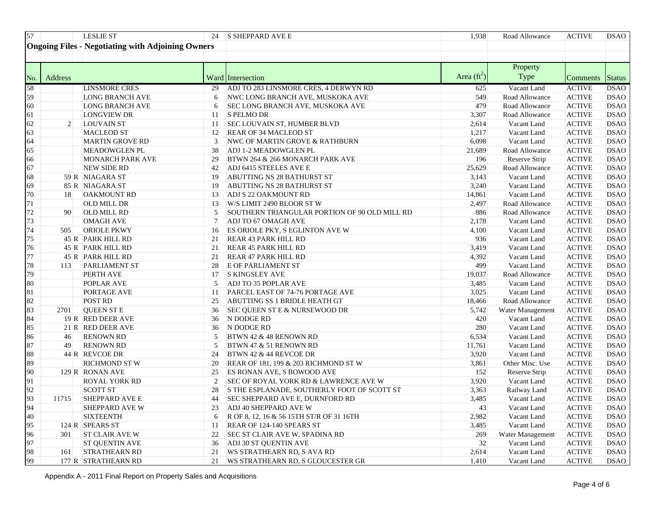| LESLIE ST                                                | $\vert$ 24 S SHEPPARD AVE E                                                          | 1.938         | Road Allowance   | <b>DSAC</b><br>ACTIVE                                        |
|----------------------------------------------------------|--------------------------------------------------------------------------------------|---------------|------------------|--------------------------------------------------------------|
| <b>Ongoing Files - Negotiating with Adjoining Owners</b> |                                                                                      |               |                  |                                                              |
|                                                          |                                                                                      |               |                  |                                                              |
|                                                          |                                                                                      |               |                  |                                                              |
|                                                          |                                                                                      |               | Property         |                                                              |
|                                                          | Ward Intersection                                                                    | Area (1       |                  | omments Status                                               |
| <b>LINSMORE CRES</b>                                     | 29 ADJ TO 283 LINSMORE CRES, 4 DERWYN RD                                             | 625.          | Vacant Land      | - IDSAC<br>ACTIVE-                                           |
| <b>LONG BRANCH AVE</b>                                   | 6 NWC LONG BRANCH AVE, MUSKOKA AVI                                                   |               | Road Allowance   | 'IVF<br><b>DSAC</b>                                          |
| <b>LONG BRANCH AVE</b>                                   | 6 SEC LONG BRANCH AVE, MUSKOKA AVE                                                   | 4791          | Road Allowance   | ACTIVE<br><b>DSAC</b>                                        |
| <b>LONGVIEW DR</b>                                       | $11$ S PELMO DR                                                                      |               | Road Allowance   | ACTIVE<br>DSAC                                               |
| <b>LOUVAIN ST</b>                                        | 11 SEC LOUVAIN ST, HUMBER BLVD                                                       | 2.614         | Vacant Land      | <b>ACTIVE</b><br><b>DSAO</b>                                 |
| <b>MACLEOD ST</b>                                        | 12 REAR OF 34 MACLEOD ST                                                             |               | Vacant Land      | <b>ACTIVE</b><br><b>DSAO</b>                                 |
| <b>MARTIN GROVE RD</b>                                   | 3 NWC OF MARTIN GROVE & RATHBURN                                                     | 6.098         | Vacant Land      | <b>CTIVE</b><br>DSAC                                         |
| <b>MEADOWGLEN PL</b>                                     | 38 ADJ 1-2 MEADOWGLEN PL                                                             |               | Road Allowance   | TIVF<br><b>IDSAC</b>                                         |
| <b>MONARCH PARK AVE</b>                                  | 29 BTWN 264 & 266 MONARCH PARK AVE                                                   | 196           | Reserve Strip    | ACTIVE<br><b>IDSAO</b>                                       |
| NEW SIDE RD                                              | 42 ADJ 6415 STEELES AVE E                                                            | 25,629        | Road Allowance   | <b>DSAC</b><br>ACTIVE                                        |
| 59 R NIAGARA ST                                          | 19 ABUTTING NS 28 BATHURST ST                                                        | 3.143         | Vacant Land      | ACTIVE<br><b>DSAC</b>                                        |
| 85 R NIAGARA ST                                          | 19 ABUTTING NS 28 BATHURST ST                                                        | 3.240         | Vacant Land      | ACTIVE<br><b>DSAO</b>                                        |
| 18 OAKMOUNT RD                                           | 13 ADJ S 22 OAKMOUNT RD                                                              | 14.861        | Vacant Land      | <b>DSAO</b><br>ACTIVE                                        |
| OLD MILL DR                                              | 13 W/S LIMIT 2490 BLOOR ST W                                                         | 2.497         | Road Allowance   | <b>DSAC</b><br>ACTIVE                                        |
| 90 OLD MILL RD                                           | 5 SOUTHERN TRIANGULAR PORTION OF 90 OLD MILL RD                                      | 886           | Road Allowance   | <b>DSAO</b><br>ACTIVE                                        |
| <b>OMAGH AVE</b>                                         | ADJ TO 67 OMAGH AVE                                                                  |               | Vacant Land      | DSAC<br>FIVI                                                 |
| 505 ORIOLE PKWY                                          | 16 ES ORIOLE PKY, S EGLINTON AVE W                                                   |               | Vacant Land      | <b>CTIVE</b><br><b>DSAC</b>                                  |
| 45 R PARK HILL RD                                        | 21 REAR 43 PARK HILL RD                                                              | 936.          | Vacant Land      | ACTIVE<br><b>DSAO</b>                                        |
| $45 R$ PARK HILL RD                                      | 21 REAR 45 PARK HILL RD                                                              | 3.419         | Vacant Land      | <b>ACTIVE</b><br><b>DSAO</b>                                 |
| $45 R$ PARK HILL RD                                      | 21 REAR 47 PARK HILL RD                                                              | 4.392         | Vacant Land      | ACTIVE<br> DSAC                                              |
| 113 PARLIAMENT ST                                        | 28 E OF PARLIAMENT ST                                                                |               | Vacant Land      | <b>CTIVE</b><br><b>DSAC</b>                                  |
| PERTH AVE                                                | 17 S KINGSLEY AVE                                                                    |               | Road Allowance   | <b>DSAO</b><br>ACTIVE                                        |
| <b>POPLAR AVE</b>                                        | 5 ADJ TO 35 POPLAR AVE                                                               |               | Vacant Land      | ACTIVE<br>DSAC                                               |
| <b>PORTAGE AVE</b>                                       | 11 PARCEL EAST OF 74-76 PORTAGE AVE                                                  |               | Vacant Land      | ACTIVE<br><b>DSAO</b>                                        |
| <b>POST RD</b>                                           | 25 ABUTTING SS 1 BRIDLE HEATH GT                                                     | 18.466        | Road Allowance   | ACTIVE<br>DSAC                                               |
| 2701 QUEEN ST I                                          | 36 SEC QUEEN ST E & NURSEWOOD DR                                                     |               | Water Management | <b>ACTIVE</b><br><b>DSAO</b>                                 |
| 19 R RED DEER AVE                                        | $\vert$ 36 N DODGE RD                                                                |               | Vacant Land      | <b>CTIVE</b><br>DSAC                                         |
| $21 R$ RED DEER AVE                                      | 36 N DODGE RD                                                                        |               | Vacant Land      | ACTIVE<br><b>DSAO</b>                                        |
| 46 RENOWN RD                                             | $\overline{\hspace{1em}}$ 5 BTWN 42 & 48 RENOWN RD                                   |               | Vacant Land      | <b>DSAC</b><br>ACTIVE                                        |
| 49 RENOWN RD                                             | 5 BTWN 47 & 51 RENOWN RD                                                             |               | Vacant Land      | <b>CTIVE</b><br><b>DSAC</b>                                  |
| 44 R REVCOE DR                                           | 24 BTWN 42 & 44 REVCOE DR                                                            | 3.920         | Vacant Land      | ACTIVE<br><b>DSAO</b>                                        |
| <b>RICHMOND ST W</b>                                     | 20 REAR OF 181, 199 & 203 RICHMOND ST W                                              |               | Other Misc. Use  | <b>DSAO</b><br><b>ACTIVE</b>                                 |
| 129 R RONAN AVE                                          | 25 ES RONAN AVE, S BOWOOD AVE                                                        |               | Reserve Strip    | ACTIVE<br> DSAC                                              |
| <b>ROYAL YORK RD</b>                                     | SEC OF ROYAL YORK RD & LAWRENCE AVE W                                                | 3.920         | Vacant Land      | ACTIVE<br><b>DSAO</b>                                        |
| SCOTT ST                                                 | 28 S THE ESPLANADE, SOUTHERLY FOOT OF SCOTT ST<br>44 SEC SHEPPARD AVE E, DURNFORD RD | 3.3631        | Railway Land     | <b>DSAC</b><br><b>CTIVE</b>                                  |
| 1715 SHEPPARD AVE E                                      |                                                                                      | 3.485         | Vacant Land      | ACTIVE<br><b>DSAO</b>                                        |
| <b>SHEPPARD AVE W</b><br><b>SIXTEENTH</b>                | 23 ADJ 40 SHEPPARD AVE W<br>6 R OF 8, 12, 16 & 56 15TH ST/R OF 31 16TH               | 2.982         | Vacant Land      | ACTIVE DSAO                                                  |
|                                                          | 11 REAR OF 124-140 SPEARS ST                                                         |               | Vacant Land      | ACTIVE DSAO<br>ACTIVE DSAO                                   |
| $124$ R SPEARS ST                                        | 22 SEC ST CLAIR AVE W, SPADINA RD                                                    | 3.485<br>2691 | Vacant Land      | <b>ACTIVE</b><br><b>DSAO</b>                                 |
| 301 ST CLAIR AVE W                                       | 36 ADJ 30 ST QUENTIN AVE                                                             |               | Water Management | ACTIVE DSAO                                                  |
| ST QUENTIN AVE                                           | 21 WS STRATHEARN RD, S AVA RD                                                        |               | Vacant Land      |                                                              |
| 161 STRATHEARN RD<br>177 R STRATHEARN RD                 | 21 WS STRATHEARN RD, S GLOUCESTER GR                                                 | 2.614         | Vacant Land      | <b>ACTIVE</b><br><b>DSAO</b><br><b>ACTIVE</b><br><b>DSAO</b> |
|                                                          |                                                                                      | 1.410         | Vacant Land      |                                                              |

Appendix A - 2011 Final Report on Property Sales and Acquisitions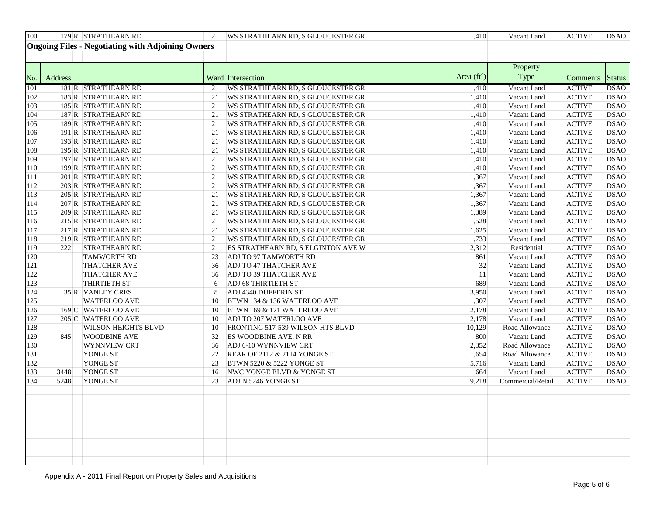|                          | 179 R STRATHEARN RD                                      | 21 WS STRATHEARN RD, S GLOUCESTER GR                                    | Vacant Land<br>ACTIVE DSAO<br>1.410                                   |  |  |
|--------------------------|----------------------------------------------------------|-------------------------------------------------------------------------|-----------------------------------------------------------------------|--|--|
|                          | <b>Ongoing Files - Negotiating with Adjoining Owners</b> |                                                                         |                                                                       |  |  |
|                          |                                                          |                                                                         |                                                                       |  |  |
|                          |                                                          |                                                                         |                                                                       |  |  |
|                          |                                                          |                                                                         | Property                                                              |  |  |
| <b>Address</b>           |                                                          | <b>Ward</b> Intersection                                                | - Area (ft <sup>2</sup><br>Type<br>mments Status                      |  |  |
|                          | 181 R STRATHEARN RD                                      | 21 IWS STRATHEARN RD. S GLOUCESTER GR                                   | Vacant Land<br>ACTIVE DSAO<br>1.410                                   |  |  |
|                          | $183$ R STRATHEARN RD                                    | 21 WS STRATHEARN RD, S GLOUCESTER GR                                    | CTIVE<br>1 410<br>Vacant Land<br><b>IDSAC</b>                         |  |  |
|                          | $185$ R STRATHEARN RD                                    | 21 WS STRATHEARN RD, S GLOUCESTER GR                                    | <b>CTIVE</b><br>Vacant Land<br>1.410  <br><b>IDSAO</b>                |  |  |
|                          | 187 R STRATHEARN RD                                      | 21 WS STRATHEARN RD, S GLOUCESTER GR                                    | <b>CTIVE</b><br>Vacant Land<br>1410<br>DSAU -                         |  |  |
|                          | 189 R STRATHEARN RD                                      | 21 WS STRATHEARN RD, S GLOUCESTER GR                                    | CTIVE<br>1.410<br>Vacant Land<br><b>IDSAO</b>                         |  |  |
|                          | 191 R STRATHEARN RD                                      | 21 WS STRATHEARN RD. S GLOUCESTER GR                                    | <b>ACTIVE</b><br>Vacant Land<br>1.410<br>IDSAO -                      |  |  |
|                          | 193 R STRATHEARN RD                                      | 21 WS STRATHEARN RD, S GLOUCESTER GR                                    | <b>TIVE</b><br>Vacant Land<br>DSAC<br>1.410                           |  |  |
|                          | 195 R STRATHEARN RD                                      | 21   WS STRATHEARN RD, S GLOUCESTER GR                                  | <b>CTIVE</b><br>Vacant Land<br><b>IDSAC</b>                           |  |  |
|                          | 197 R STRATHEARN RD                                      | 21   WS STRATHEARN RD, S GLOUCESTER GR                                  | <b>CTIVE</b><br>Vacant Land<br>1.410<br><b>IDSAO</b>                  |  |  |
|                          | 199 R STRATHEARN RD                                      | 21 WS STRATHEARN RD, S GLOUCESTER GR                                    | <b>ACTIVE</b><br>1.410<br>Vacant Land<br><b>IDSAO</b>                 |  |  |
|                          | $201 R$ STRATHEARN RD                                    | 21 WS STRATHEARN RD, S GLOUCESTER GR                                    | 1.367<br>ACTIVE<br>Vacant Land<br><b>DSAO</b>                         |  |  |
|                          | $203$ R STRATHEARN RD                                    | 21 WS STRATHEARN RD, S GLOUCESTER GR                                    | <b>CTIVE</b><br>1.367<br>Vacant Land<br>DSAO                          |  |  |
|                          | 205 R STRATHEARN RD                                      | 21 WS STRATHEARN RD, S GLOUCESTER GR                                    | 1.367<br><b>CTIVE</b><br>Vacant Land<br><b>IDSAO</b>                  |  |  |
|                          | $207$ R STRATHEARN RD                                    | 21 WS STRATHEARN RD, S GLOUCESTER GR                                    | 1.367<br><b>CTIVE</b><br>Vacant Land<br><b>DSAC</b><br>1.389          |  |  |
|                          | 209 R STRATHEARN RD                                      | 21   WS STRATHEARN RD, S GLOUCESTER GR                                  | ACTIVE<br>Vacant Land<br><b>IDSAO</b>                                 |  |  |
|                          | $215$ R STRATHEARN RD                                    | 21 WS STRATHEARN RD, S GLOUCESTER GR                                    | <b>ACTIVE</b><br>1.528<br>Vacant Land<br>IDSAO.<br><b>TIVE</b>        |  |  |
|                          | $217R$ STRATHEARN RD<br>219 R STRATHEARN RD              | 21   WS STRATHEARN RD, S GLOUCESTER GR                                  | 1.625<br>Vacant Land<br>DSAC<br><b>CTIVE</b>                          |  |  |
|                          | 222 STRATHEARN RD                                        | 21   WS STRATHEARN RD, S GLOUCESTER GR                                  | Vacant Land<br><b>IDSAO</b><br><b>CTIVE</b><br>2.3121<br><b>IDSAO</b> |  |  |
|                          | <b>TAMWORTH RD</b>                                       | 21 ES STRATHEARN RD, S ELGINTON AVE W<br>23 ADJ TO 97 TAMWORTH RD       | Residential<br><b>CTIVE</b><br>-IDSAO                                 |  |  |
|                          | <b>THATCHER AVE</b>                                      | 36 ADJ TO 47 THATCHER AVE                                               | Vacant Land<br>CTIVE<br>Vacant Land<br>- IDSAC                        |  |  |
|                          | <b>THATCHER AVE</b>                                      | 36 ADJ TO 39 THATCHER AVE                                               | <b>ACTIVE</b><br>Vacant Land<br><b>DSAO</b>                           |  |  |
|                          | <b>THIRTIETH ST</b>                                      | $\begin{vmatrix} 6 & \text{ADJ } 68 \text{ THIRTIETH ST} \end{vmatrix}$ | <b>CTIVE</b><br>Vacant Land<br><b>IDSAO</b>                           |  |  |
|                          | 35 R VANLEY CRES                                         | 8 ADJ 4340 DUFFERIN ST                                                  | <b>CTIVE</b><br>Vacant Land<br><b>IDSAO</b>                           |  |  |
|                          | <b>WATERLOO AVE</b>                                      | 10 BTWN 134 $\&$ 136 WATERLOO AVE                                       | ACTIVE<br>1.307<br>Vacant Land<br><b>DSAO</b>                         |  |  |
|                          | $169$ C WATERLOO AVE                                     | 10 BTWN 169 & 171 WATERLOO AVE                                          | <b>TIVE</b><br>Vacant Land<br><b>IDSAO</b>                            |  |  |
|                          | 205 C WATERLOO AVE                                       | 10 ADJ TO 207 WATERLOO AVE                                              | CTIVE.<br>Vacant Land<br>2.1781<br>DSAC                               |  |  |
|                          | <b>WILSON HEIGHTS BLVD</b>                               | 10 FRONTING 517-539 WILSON HTS BLVD                                     | <b>CTIVE</b><br>10.129<br>Road Allowance<br><b>IDSAO</b>              |  |  |
|                          | 845 WOODBINE AVE                                         | $\overline{32}$ ES WOODBINE AVE, N RR                                   | <b>CTIVE</b><br>-8001<br>Vacant Land<br><b>IDSAO</b>                  |  |  |
|                          | WYNNVIEW CRT                                             | 36 ADJ 6-10 WYNNVIEW CRT                                                | <b>CTIVE</b><br>Road Allowance<br>- IDSAO -                           |  |  |
|                          | YONGE ST                                                 | 22 REAR OF 2112 & 2114 YONGE ST                                         | CTIVE<br>1.654<br>Road Allowance<br>DSAO                              |  |  |
|                          | YONGE ST                                                 | 23 BTWN 5220 & 5222 YONGE ST                                            | <b>ACTIVE</b><br>Vacant Land<br>5.716<br><b>DSAO</b>                  |  |  |
|                          | 3448 YONGE ST                                            | 16 NWC YONGE BLVD & YONGE ST                                            | <b>CTIVE</b><br>-664<br>Vacant Land<br><b>IDSAO</b>                   |  |  |
|                          | 5248 YONGE ST                                            | 23 ADJ N 5246 YONGE ST                                                  | Commercial/Retail ACTIVE DSAO<br>9.218                                |  |  |
|                          |                                                          |                                                                         |                                                                       |  |  |
|                          |                                                          |                                                                         |                                                                       |  |  |
|                          |                                                          |                                                                         |                                                                       |  |  |
|                          |                                                          |                                                                         |                                                                       |  |  |
|                          |                                                          |                                                                         |                                                                       |  |  |
|                          |                                                          |                                                                         |                                                                       |  |  |
| $\overline{\phantom{a}}$ |                                                          |                                                                         |                                                                       |  |  |
|                          |                                                          |                                                                         |                                                                       |  |  |
|                          |                                                          |                                                                         |                                                                       |  |  |